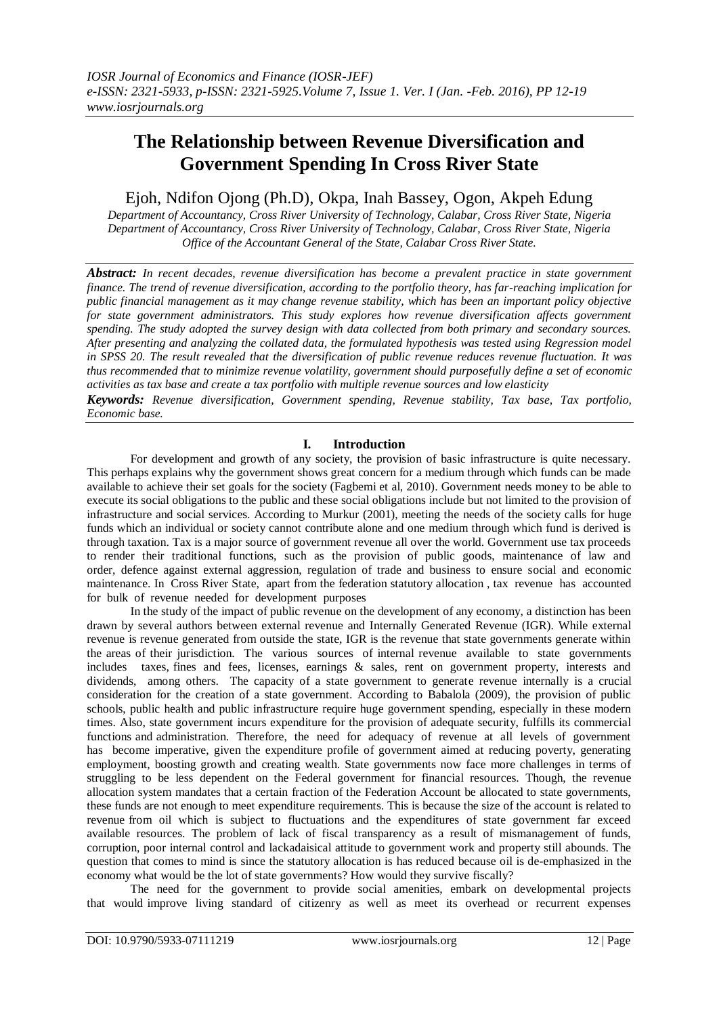# **The Relationship between Revenue Diversification and Government Spending In Cross River State**

## Ejoh, Ndifon Ojong (Ph.D), Okpa, Inah Bassey, Ogon, Akpeh Edung

*Department of Accountancy, Cross River University of Technology, Calabar, Cross River State, Nigeria Department of Accountancy, Cross River University of Technology, Calabar, Cross River State, Nigeria Office of the Accountant General of the State, Calabar Cross River State.*

*Abstract: In recent decades, revenue diversification has become a prevalent practice in state government finance. The trend of revenue diversification, according to the portfolio theory, has far-reaching implication for public financial management as it may change revenue stability, which has been an important policy objective for state government administrators. This study explores how revenue diversification affects government spending. The study adopted the survey design with data collected from both primary and secondary sources. After presenting and analyzing the collated data, the formulated hypothesis was tested using Regression model in SPSS 20. The result revealed that the diversification of public revenue reduces revenue fluctuation. It was thus recommended that to minimize revenue volatility, government should purposefully define a set of economic activities as tax base and create a tax portfolio with multiple revenue sources and low elasticity*

*Keywords: Revenue diversification, Government spending, Revenue stability, Tax base, Tax portfolio, Economic base.*

## **I. Introduction**

For development and growth of any society, the provision of basic infrastructure is quite necessary. This perhaps explains why the government shows great concern for a medium through which funds can be made available to achieve their set goals for the society (Fagbemi et al, 2010). Government needs money to be able to execute its social obligations to the public and these social obligations include but not limited to the provision of infrastructure and social services. According to Murkur (2001), meeting the needs of the society calls for huge funds which an individual or society cannot contribute alone and one medium through which fund is derived is through taxation. Tax is a major source of government revenue all over the world. Government use tax proceeds to render their traditional functions, such as the provision of public goods, maintenance of law and order, defence against external aggression, regulation of trade and business to ensure social and economic maintenance. In Cross River State, apart from the federation statutory allocation , tax revenue has accounted for bulk of revenue needed for development purposes

In the study of the impact of public revenue on the development of any economy, a distinction has been drawn by several authors between external revenue and Internally Generated Revenue (IGR). While external revenue is revenue generated from outside the state, IGR is the revenue that state governments generate within the areas of their jurisdiction. The various sources of internal revenue available to state governments includes taxes, fines and fees, licenses, earnings & sales, rent on government property, interests and dividends, among others. The capacity of a state government to generate revenue internally is a crucial consideration for the creation of a state government. According to Babalola (2009), the provision of public schools, public health and public infrastructure require huge government spending, especially in these modern times. Also, state government incurs expenditure for the provision of adequate security, fulfills its commercial functions and administration. Therefore, the need for adequacy of revenue at all levels of government has become imperative, given the expenditure profile of government aimed at reducing poverty, generating employment, boosting growth and creating wealth. State governments now face more challenges in terms of struggling to be less dependent on the Federal government for financial resources. Though, the revenue allocation system mandates that a certain fraction of the Federation Account be allocated to state governments, these funds are not enough to meet expenditure requirements. This is because the size of the account is related to revenue from oil which is subject to fluctuations and the expenditures of state government far exceed available resources. The problem of lack of fiscal transparency as a result of mismanagement of funds, corruption, poor internal control and lackadaisical attitude to government work and property still abounds. The question that comes to mind is since the statutory allocation is has reduced because oil is de-emphasized in the economy what would be the lot of state governments? How would they survive fiscally?

The need for the government to provide social amenities, embark on developmental projects that would improve living standard of citizenry as well as meet its overhead or recurrent expenses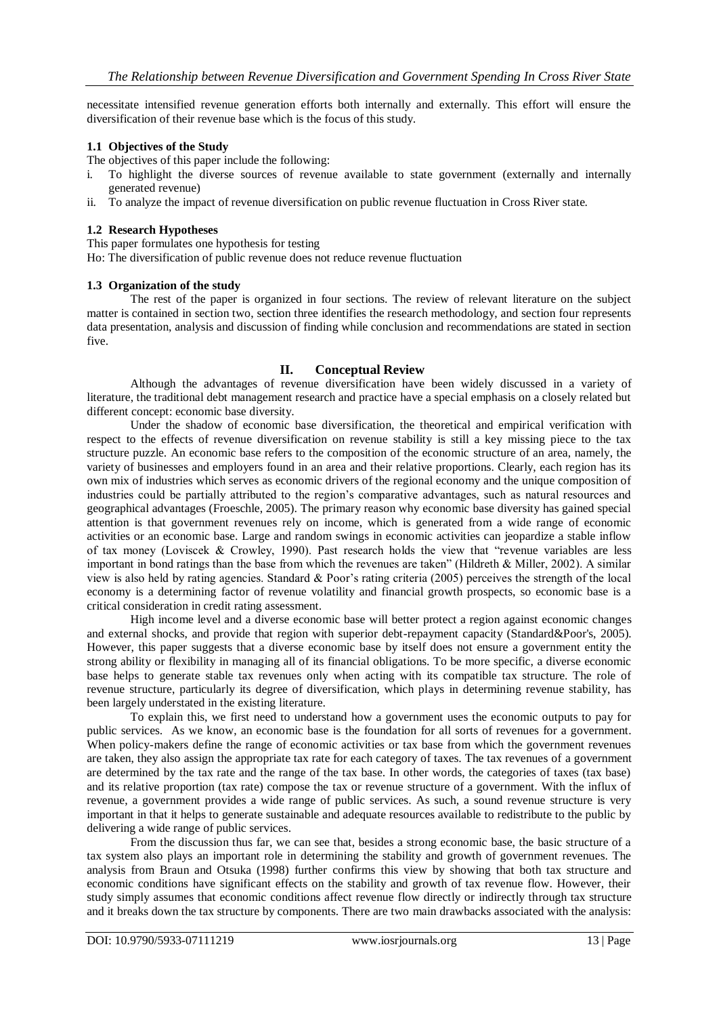necessitate intensified revenue generation efforts both internally and externally. This effort will ensure the diversification of their revenue base which is the focus of this study.

## **1.1 Objectives of the Study**

The objectives of this paper include the following:

- i. To highlight the diverse sources of revenue available to state government (externally and internally generated revenue)
- ii. To analyze the impact of revenue diversification on public revenue fluctuation in Cross River state.

## **1.2 Research Hypotheses**

This paper formulates one hypothesis for testing

Ho: The diversification of public revenue does not reduce revenue fluctuation

## **1.3 Organization of the study**

The rest of the paper is organized in four sections. The review of relevant literature on the subject matter is contained in section two, section three identifies the research methodology, and section four represents data presentation, analysis and discussion of finding while conclusion and recommendations are stated in section five.

## **II. Conceptual Review**

Although the advantages of revenue diversification have been widely discussed in a variety of literature, the traditional debt management research and practice have a special emphasis on a closely related but different concept: economic base diversity.

Under the shadow of economic base diversification, the theoretical and empirical verification with respect to the effects of revenue diversification on revenue stability is still a key missing piece to the tax structure puzzle. An economic base refers to the composition of the economic structure of an area, namely, the variety of businesses and employers found in an area and their relative proportions. Clearly, each region has its own mix of industries which serves as economic drivers of the regional economy and the unique composition of industries could be partially attributed to the region's comparative advantages, such as natural resources and geographical advantages (Froeschle, 2005). The primary reason why economic base diversity has gained special attention is that government revenues rely on income, which is generated from a wide range of economic activities or an economic base. Large and random swings in economic activities can jeopardize a stable inflow of tax money (Loviscek & Crowley, 1990). Past research holds the view that "revenue variables are less important in bond ratings than the base from which the revenues are taken" (Hildreth & Miller, 2002). A similar view is also held by rating agencies. Standard & Poor's rating criteria (2005) perceives the strength of the local economy is a determining factor of revenue volatility and financial growth prospects, so economic base is a critical consideration in credit rating assessment.

High income level and a diverse economic base will better protect a region against economic changes and external shocks, and provide that region with superior debt-repayment capacity (Standard&Poor's, 2005). However, this paper suggests that a diverse economic base by itself does not ensure a government entity the strong ability or flexibility in managing all of its financial obligations. To be more specific, a diverse economic base helps to generate stable tax revenues only when acting with its compatible tax structure. The role of revenue structure, particularly its degree of diversification, which plays in determining revenue stability, has been largely understated in the existing literature.

To explain this, we first need to understand how a government uses the economic outputs to pay for public services. As we know, an economic base is the foundation for all sorts of revenues for a government. When policy-makers define the range of economic activities or tax base from which the government revenues are taken, they also assign the appropriate tax rate for each category of taxes. The tax revenues of a government are determined by the tax rate and the range of the tax base. In other words, the categories of taxes (tax base) and its relative proportion (tax rate) compose the tax or revenue structure of a government. With the influx of revenue, a government provides a wide range of public services. As such, a sound revenue structure is very important in that it helps to generate sustainable and adequate resources available to redistribute to the public by delivering a wide range of public services.

From the discussion thus far, we can see that, besides a strong economic base, the basic structure of a tax system also plays an important role in determining the stability and growth of government revenues. The analysis from Braun and Otsuka (1998) further confirms this view by showing that both tax structure and economic conditions have significant effects on the stability and growth of tax revenue flow. However, their study simply assumes that economic conditions affect revenue flow directly or indirectly through tax structure and it breaks down the tax structure by components. There are two main drawbacks associated with the analysis: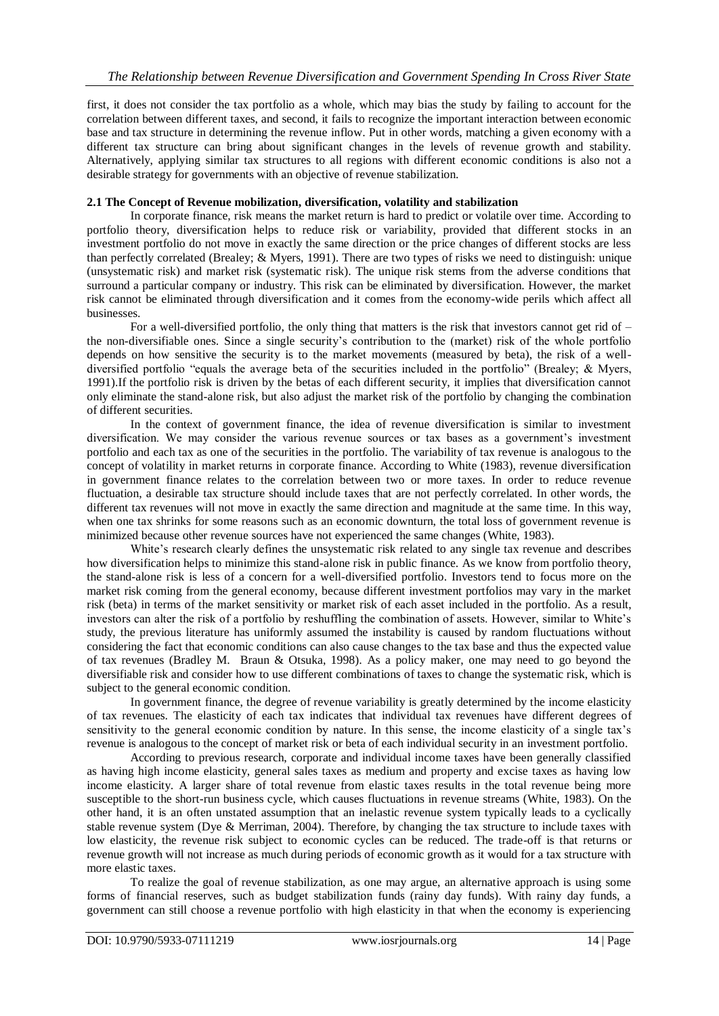first, it does not consider the tax portfolio as a whole, which may bias the study by failing to account for the correlation between different taxes, and second, it fails to recognize the important interaction between economic base and tax structure in determining the revenue inflow. Put in other words, matching a given economy with a different tax structure can bring about significant changes in the levels of revenue growth and stability. Alternatively, applying similar tax structures to all regions with different economic conditions is also not a desirable strategy for governments with an objective of revenue stabilization.

## **2.1 The Concept of Revenue mobilization, diversification, volatility and stabilization**

In corporate finance, risk means the market return is hard to predict or volatile over time. According to portfolio theory, diversification helps to reduce risk or variability, provided that different stocks in an investment portfolio do not move in exactly the same direction or the price changes of different stocks are less than perfectly correlated (Brealey; & Myers, 1991). There are two types of risks we need to distinguish: unique (unsystematic risk) and market risk (systematic risk). The unique risk stems from the adverse conditions that surround a particular company or industry. This risk can be eliminated by diversification. However, the market risk cannot be eliminated through diversification and it comes from the economy-wide perils which affect all businesses.

For a well-diversified portfolio, the only thing that matters is the risk that investors cannot get rid of – the non-diversifiable ones. Since a single security's contribution to the (market) risk of the whole portfolio depends on how sensitive the security is to the market movements (measured by beta), the risk of a welldiversified portfolio "equals the average beta of the securities included in the portfolio" (Brealey; & Myers, 1991).If the portfolio risk is driven by the betas of each different security, it implies that diversification cannot only eliminate the stand-alone risk, but also adjust the market risk of the portfolio by changing the combination of different securities.

In the context of government finance, the idea of revenue diversification is similar to investment diversification. We may consider the various revenue sources or tax bases as a government's investment portfolio and each tax as one of the securities in the portfolio. The variability of tax revenue is analogous to the concept of volatility in market returns in corporate finance. According to White (1983), revenue diversification in government finance relates to the correlation between two or more taxes. In order to reduce revenue fluctuation, a desirable tax structure should include taxes that are not perfectly correlated. In other words, the different tax revenues will not move in exactly the same direction and magnitude at the same time. In this way, when one tax shrinks for some reasons such as an economic downturn, the total loss of government revenue is minimized because other revenue sources have not experienced the same changes (White, 1983).

White's research clearly defines the unsystematic risk related to any single tax revenue and describes how diversification helps to minimize this stand-alone risk in public finance. As we know from portfolio theory, the stand-alone risk is less of a concern for a well-diversified portfolio. Investors tend to focus more on the market risk coming from the general economy, because different investment portfolios may vary in the market risk (beta) in terms of the market sensitivity or market risk of each asset included in the portfolio. As a result, investors can alter the risk of a portfolio by reshuffling the combination of assets. However, similar to White's study, the previous literature has uniformly assumed the instability is caused by random fluctuations without considering the fact that economic conditions can also cause changes to the tax base and thus the expected value of tax revenues (Bradley M. Braun & Otsuka, 1998). As a policy maker, one may need to go beyond the diversifiable risk and consider how to use different combinations of taxes to change the systematic risk, which is subject to the general economic condition.

In government finance, the degree of revenue variability is greatly determined by the income elasticity of tax revenues. The elasticity of each tax indicates that individual tax revenues have different degrees of sensitivity to the general economic condition by nature. In this sense, the income elasticity of a single tax's revenue is analogous to the concept of market risk or beta of each individual security in an investment portfolio.

According to previous research, corporate and individual income taxes have been generally classified as having high income elasticity, general sales taxes as medium and property and excise taxes as having low income elasticity. A larger share of total revenue from elastic taxes results in the total revenue being more susceptible to the short-run business cycle, which causes fluctuations in revenue streams (White, 1983). On the other hand, it is an often unstated assumption that an inelastic revenue system typically leads to a cyclically stable revenue system (Dye & Merriman, 2004). Therefore, by changing the tax structure to include taxes with low elasticity, the revenue risk subject to economic cycles can be reduced. The trade-off is that returns or revenue growth will not increase as much during periods of economic growth as it would for a tax structure with more elastic taxes.

To realize the goal of revenue stabilization, as one may argue, an alternative approach is using some forms of financial reserves, such as budget stabilization funds (rainy day funds). With rainy day funds, a government can still choose a revenue portfolio with high elasticity in that when the economy is experiencing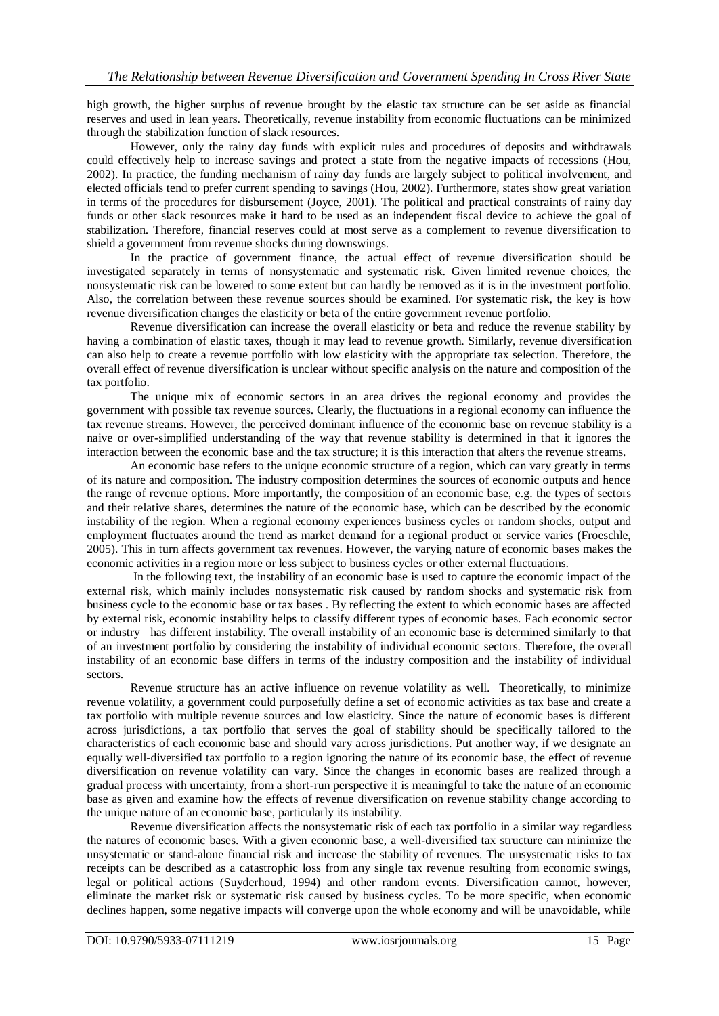high growth, the higher surplus of revenue brought by the elastic tax structure can be set aside as financial reserves and used in lean years. Theoretically, revenue instability from economic fluctuations can be minimized through the stabilization function of slack resources.

However, only the rainy day funds with explicit rules and procedures of deposits and withdrawals could effectively help to increase savings and protect a state from the negative impacts of recessions (Hou, 2002). In practice, the funding mechanism of rainy day funds are largely subject to political involvement, and elected officials tend to prefer current spending to savings (Hou, 2002). Furthermore, states show great variation in terms of the procedures for disbursement (Joyce, 2001). The political and practical constraints of rainy day funds or other slack resources make it hard to be used as an independent fiscal device to achieve the goal of stabilization. Therefore, financial reserves could at most serve as a complement to revenue diversification to shield a government from revenue shocks during downswings.

In the practice of government finance, the actual effect of revenue diversification should be investigated separately in terms of nonsystematic and systematic risk. Given limited revenue choices, the nonsystematic risk can be lowered to some extent but can hardly be removed as it is in the investment portfolio. Also, the correlation between these revenue sources should be examined. For systematic risk, the key is how revenue diversification changes the elasticity or beta of the entire government revenue portfolio.

Revenue diversification can increase the overall elasticity or beta and reduce the revenue stability by having a combination of elastic taxes, though it may lead to revenue growth. Similarly, revenue diversification can also help to create a revenue portfolio with low elasticity with the appropriate tax selection. Therefore, the overall effect of revenue diversification is unclear without specific analysis on the nature and composition of the tax portfolio.

The unique mix of economic sectors in an area drives the regional economy and provides the government with possible tax revenue sources. Clearly, the fluctuations in a regional economy can influence the tax revenue streams. However, the perceived dominant influence of the economic base on revenue stability is a naive or over-simplified understanding of the way that revenue stability is determined in that it ignores the interaction between the economic base and the tax structure; it is this interaction that alters the revenue streams.

An economic base refers to the unique economic structure of a region, which can vary greatly in terms of its nature and composition. The industry composition determines the sources of economic outputs and hence the range of revenue options. More importantly, the composition of an economic base, e.g. the types of sectors and their relative shares, determines the nature of the economic base, which can be described by the economic instability of the region. When a regional economy experiences business cycles or random shocks, output and employment fluctuates around the trend as market demand for a regional product or service varies (Froeschle, 2005). This in turn affects government tax revenues. However, the varying nature of economic bases makes the economic activities in a region more or less subject to business cycles or other external fluctuations.

In the following text, the instability of an economic base is used to capture the economic impact of the external risk, which mainly includes nonsystematic risk caused by random shocks and systematic risk from business cycle to the economic base or tax bases . By reflecting the extent to which economic bases are affected by external risk, economic instability helps to classify different types of economic bases. Each economic sector or industry has different instability. The overall instability of an economic base is determined similarly to that of an investment portfolio by considering the instability of individual economic sectors. Therefore, the overall instability of an economic base differs in terms of the industry composition and the instability of individual sectors.

Revenue structure has an active influence on revenue volatility as well. Theoretically, to minimize revenue volatility, a government could purposefully define a set of economic activities as tax base and create a tax portfolio with multiple revenue sources and low elasticity. Since the nature of economic bases is different across jurisdictions, a tax portfolio that serves the goal of stability should be specifically tailored to the characteristics of each economic base and should vary across jurisdictions. Put another way, if we designate an equally well-diversified tax portfolio to a region ignoring the nature of its economic base, the effect of revenue diversification on revenue volatility can vary. Since the changes in economic bases are realized through a gradual process with uncertainty, from a short-run perspective it is meaningful to take the nature of an economic base as given and examine how the effects of revenue diversification on revenue stability change according to the unique nature of an economic base, particularly its instability.

Revenue diversification affects the nonsystematic risk of each tax portfolio in a similar way regardless the natures of economic bases. With a given economic base, a well-diversified tax structure can minimize the unsystematic or stand-alone financial risk and increase the stability of revenues. The unsystematic risks to tax receipts can be described as a catastrophic loss from any single tax revenue resulting from economic swings, legal or political actions (Suyderhoud, 1994) and other random events. Diversification cannot, however, eliminate the market risk or systematic risk caused by business cycles. To be more specific, when economic declines happen, some negative impacts will converge upon the whole economy and will be unavoidable, while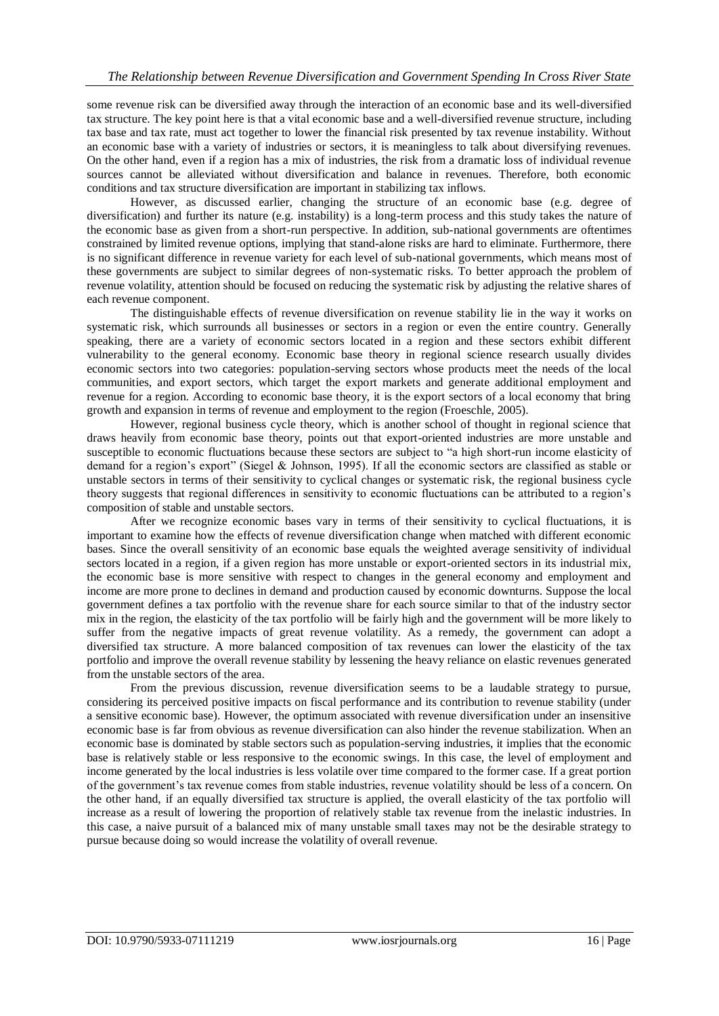some revenue risk can be diversified away through the interaction of an economic base and its well-diversified tax structure. The key point here is that a vital economic base and a well-diversified revenue structure, including tax base and tax rate, must act together to lower the financial risk presented by tax revenue instability. Without an economic base with a variety of industries or sectors, it is meaningless to talk about diversifying revenues. On the other hand, even if a region has a mix of industries, the risk from a dramatic loss of individual revenue sources cannot be alleviated without diversification and balance in revenues. Therefore, both economic conditions and tax structure diversification are important in stabilizing tax inflows.

However, as discussed earlier, changing the structure of an economic base (e.g. degree of diversification) and further its nature (e.g. instability) is a long-term process and this study takes the nature of the economic base as given from a short-run perspective. In addition, sub-national governments are oftentimes constrained by limited revenue options, implying that stand-alone risks are hard to eliminate. Furthermore, there is no significant difference in revenue variety for each level of sub-national governments, which means most of these governments are subject to similar degrees of non-systematic risks. To better approach the problem of revenue volatility, attention should be focused on reducing the systematic risk by adjusting the relative shares of each revenue component.

The distinguishable effects of revenue diversification on revenue stability lie in the way it works on systematic risk, which surrounds all businesses or sectors in a region or even the entire country. Generally speaking, there are a variety of economic sectors located in a region and these sectors exhibit different vulnerability to the general economy. Economic base theory in regional science research usually divides economic sectors into two categories: population-serving sectors whose products meet the needs of the local communities, and export sectors, which target the export markets and generate additional employment and revenue for a region. According to economic base theory, it is the export sectors of a local economy that bring growth and expansion in terms of revenue and employment to the region (Froeschle, 2005).

However, regional business cycle theory, which is another school of thought in regional science that draws heavily from economic base theory, points out that export-oriented industries are more unstable and susceptible to economic fluctuations because these sectors are subject to "a high short-run income elasticity of demand for a region's export" (Siegel & Johnson, 1995). If all the economic sectors are classified as stable or unstable sectors in terms of their sensitivity to cyclical changes or systematic risk, the regional business cycle theory suggests that regional differences in sensitivity to economic fluctuations can be attributed to a region's composition of stable and unstable sectors.

After we recognize economic bases vary in terms of their sensitivity to cyclical fluctuations, it is important to examine how the effects of revenue diversification change when matched with different economic bases. Since the overall sensitivity of an economic base equals the weighted average sensitivity of individual sectors located in a region, if a given region has more unstable or export-oriented sectors in its industrial mix, the economic base is more sensitive with respect to changes in the general economy and employment and income are more prone to declines in demand and production caused by economic downturns. Suppose the local government defines a tax portfolio with the revenue share for each source similar to that of the industry sector mix in the region, the elasticity of the tax portfolio will be fairly high and the government will be more likely to suffer from the negative impacts of great revenue volatility. As a remedy, the government can adopt a diversified tax structure. A more balanced composition of tax revenues can lower the elasticity of the tax portfolio and improve the overall revenue stability by lessening the heavy reliance on elastic revenues generated from the unstable sectors of the area.

From the previous discussion, revenue diversification seems to be a laudable strategy to pursue, considering its perceived positive impacts on fiscal performance and its contribution to revenue stability (under a sensitive economic base). However, the optimum associated with revenue diversification under an insensitive economic base is far from obvious as revenue diversification can also hinder the revenue stabilization. When an economic base is dominated by stable sectors such as population-serving industries, it implies that the economic base is relatively stable or less responsive to the economic swings. In this case, the level of employment and income generated by the local industries is less volatile over time compared to the former case. If a great portion of the government's tax revenue comes from stable industries, revenue volatility should be less of a concern. On the other hand, if an equally diversified tax structure is applied, the overall elasticity of the tax portfolio will increase as a result of lowering the proportion of relatively stable tax revenue from the inelastic industries. In this case, a naive pursuit of a balanced mix of many unstable small taxes may not be the desirable strategy to pursue because doing so would increase the volatility of overall revenue.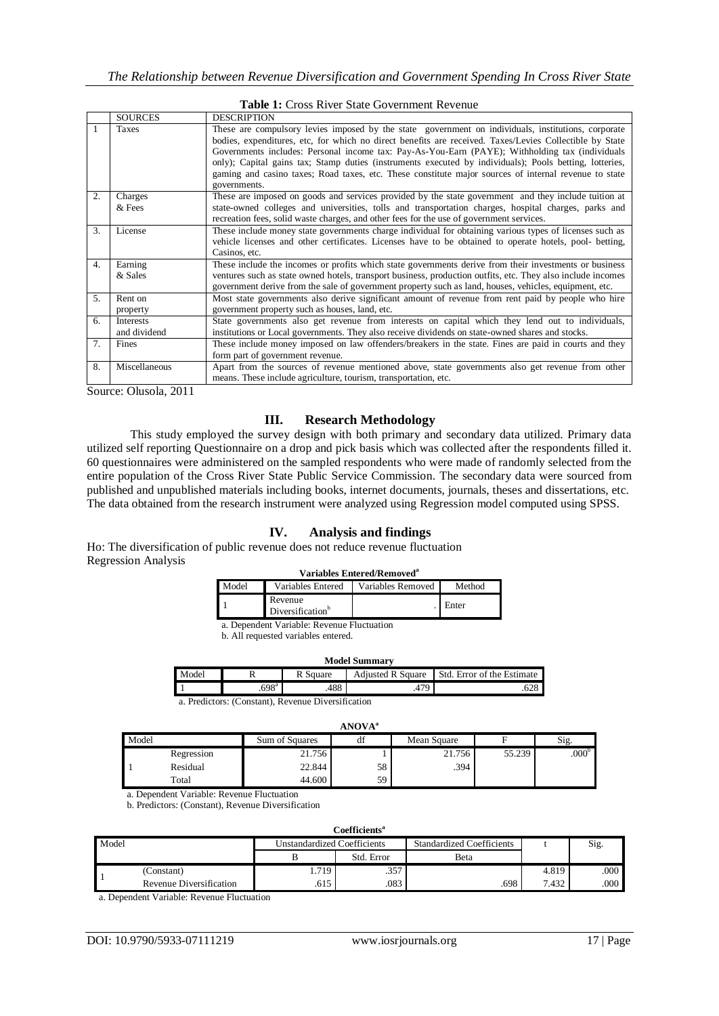|    | <b>Table 1:</b> Cross River State Government Revenue                                                            |                                                                                                                                                                                                                                                                                                                                                                                                                                                                                                                                                       |  |  |  |  |  |
|----|-----------------------------------------------------------------------------------------------------------------|-------------------------------------------------------------------------------------------------------------------------------------------------------------------------------------------------------------------------------------------------------------------------------------------------------------------------------------------------------------------------------------------------------------------------------------------------------------------------------------------------------------------------------------------------------|--|--|--|--|--|
|    | <b>SOURCES</b><br><b>DESCRIPTION</b>                                                                            |                                                                                                                                                                                                                                                                                                                                                                                                                                                                                                                                                       |  |  |  |  |  |
|    | <b>Taxes</b>                                                                                                    | These are compulsory levies imposed by the state government on individuals, institutions, corporate<br>bodies, expenditures, etc, for which no direct benefits are received. Taxes/Levies Collectible by State<br>Governments includes: Personal income tax: Pay-As-You-Earn (PAYE); Withholding tax (individuals<br>only); Capital gains tax; Stamp duties (instruments executed by individuals); Pools betting, lotteries,<br>gaming and casino taxes; Road taxes, etc. These constitute major sources of internal revenue to state<br>governments. |  |  |  |  |  |
| 2. | These are imposed on goods and services provided by the state government and they include tuition at<br>Charges |                                                                                                                                                                                                                                                                                                                                                                                                                                                                                                                                                       |  |  |  |  |  |
|    | & Fees                                                                                                          | state-owned colleges and universities, tolls and transportation charges, hospital charges, parks and<br>recreation fees, solid waste charges, and other fees for the use of government services.                                                                                                                                                                                                                                                                                                                                                      |  |  |  |  |  |
| 3. | License                                                                                                         | These include money state governments charge individual for obtaining various types of licenses such as<br>vehicle licenses and other certificates. Licenses have to be obtained to operate hotels, pool- betting,<br>Casinos, etc.                                                                                                                                                                                                                                                                                                                   |  |  |  |  |  |
| 4. | Earning                                                                                                         | These include the incomes or profits which state governments derive from their investments or business                                                                                                                                                                                                                                                                                                                                                                                                                                                |  |  |  |  |  |
|    | & Sales                                                                                                         | ventures such as state owned hotels, transport business, production outfits, etc. They also include incomes<br>government derive from the sale of government property such as land, houses, vehicles, equipment, etc.                                                                                                                                                                                                                                                                                                                                 |  |  |  |  |  |
| 5. | Rent on                                                                                                         | Most state governments also derive significant amount of revenue from rent paid by people who hire                                                                                                                                                                                                                                                                                                                                                                                                                                                    |  |  |  |  |  |
|    | property                                                                                                        | government property such as houses, land, etc.                                                                                                                                                                                                                                                                                                                                                                                                                                                                                                        |  |  |  |  |  |
| 6. | <b>Interests</b>                                                                                                | State governments also get revenue from interests on capital which they lend out to individuals,                                                                                                                                                                                                                                                                                                                                                                                                                                                      |  |  |  |  |  |
|    | and dividend                                                                                                    | institutions or Local governments. They also receive dividends on state-owned shares and stocks.                                                                                                                                                                                                                                                                                                                                                                                                                                                      |  |  |  |  |  |
| 7. | Fines                                                                                                           | These include money imposed on law offenders/breakers in the state. Fines are paid in courts and they<br>form part of government revenue.                                                                                                                                                                                                                                                                                                                                                                                                             |  |  |  |  |  |
| 8. | Miscellaneous                                                                                                   | Apart from the sources of revenue mentioned above, state governments also get revenue from other<br>means. These include agriculture, tourism, transportation, etc.                                                                                                                                                                                                                                                                                                                                                                                   |  |  |  |  |  |

Source: Olusola, 2011

## **III. Research Methodology**

This study employed the survey design with both primary and secondary data utilized. Primary data utilized self reporting Questionnaire on a drop and pick basis which was collected after the respondents filled it. 60 questionnaires were administered on the sampled respondents who were made of randomly selected from the entire population of the Cross River State Public Service Commission. The secondary data were sourced from published and unpublished materials including books, internet documents, journals, theses and dissertations, etc. The data obtained from the research instrument were analyzed using Regression model computed using SPSS.

## **IV. Analysis and findings**

Ho: The diversification of public revenue does not reduce revenue fluctuation Regression Analysis

#### **Variables Entered/Removed<sup>a</sup>**

| Model | Variables Entered                       | Variables Removed | Method |
|-------|-----------------------------------------|-------------------|--------|
|       | Revenue<br>Diversification <sup>b</sup> |                   | Enter  |
|       |                                         |                   |        |

a. Dependent Variable: Revenue Fluctuation

b. All requested variables entered.

| <b>Model Summary</b> |                   |          |  |                                                |  |  |  |
|----------------------|-------------------|----------|--|------------------------------------------------|--|--|--|
| Model                |                   | R Square |  | Adjusted R Square   Std. Error of the Estimate |  |  |  |
|                      | .698 <sup>a</sup> | .488     |  | 628                                            |  |  |  |
| <b>.</b>             | $\sim$            |          |  |                                                |  |  |  |

a. Predictors: (Constant), Revenue Diversification

#### **ANOVA<sup>a</sup>**

| . <del>.</del> |            |                |    |             |        |                   |
|----------------|------------|----------------|----|-------------|--------|-------------------|
| Model          |            | Sum of Squares | df | Mean Square | п      | Sig.              |
|                | Regression | 21.756         |    | 21.756      | 55.239 | .000 <sup>b</sup> |
|                | Residual   | 22.844         | 58 | .394        |        |                   |
|                | Total      | 44.600         | 59 |             |        |                   |

a. Dependent Variable: Revenue Fluctuation

b. Predictors: (Constant), Revenue Diversification

| Coefficients <sup>a</sup> |                         |                             |            |                                  |       |      |
|---------------------------|-------------------------|-----------------------------|------------|----------------------------------|-------|------|
| Model                     |                         | Unstandardized Coefficients |            | <b>Standardized Coefficients</b> |       | Sig. |
|                           |                         |                             | Std. Error | Beta                             |       |      |
|                           | (Constant)              | . 719                       | .357       |                                  | 4.819 | .000 |
|                           | Revenue Diversification | .615                        | .083       | .698                             | 7.432 | .000 |

a. Dependent Variable: Revenue Fluctuation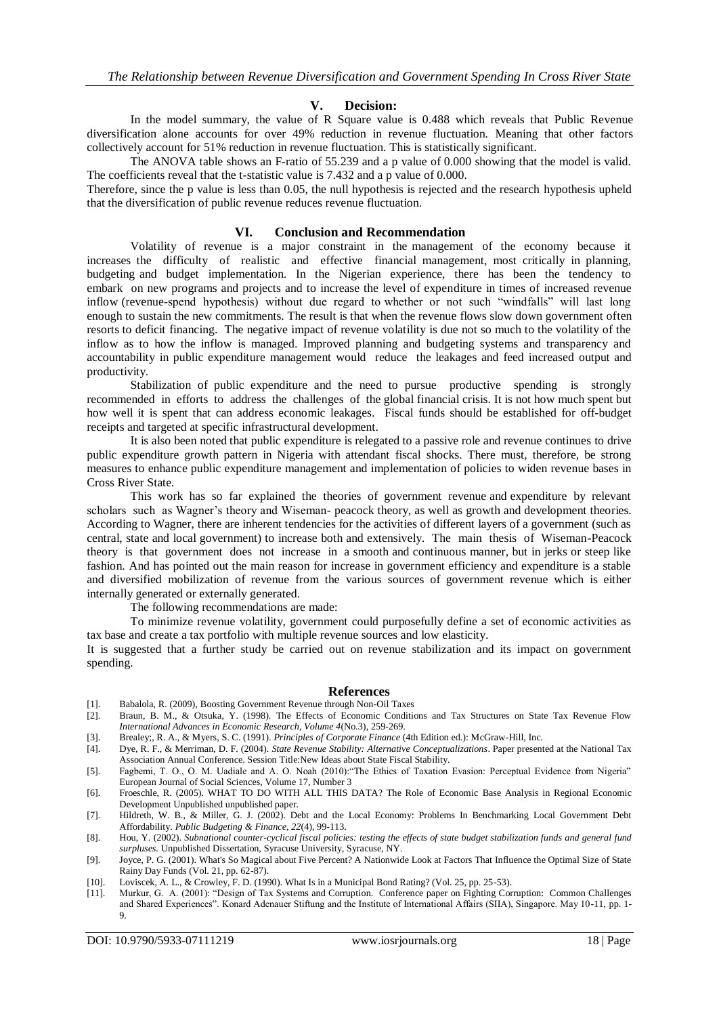## **V. Decision:**

In the model summary, the value of R Square value is 0.488 which reveals that Public Revenue diversification alone accounts for over 49% reduction in revenue fluctuation. Meaning that other factors collectively account for 51% reduction in revenue fluctuation. This is statistically significant.

The ANOVA table shows an F-ratio of 55.239 and a p value of 0.000 showing that the model is valid. The coefficients reveal that the t-statistic value is 7.432 and a p value of 0.000.

Therefore, since the p value is less than 0.05, the null hypothesis is rejected and the research hypothesis upheld that the diversification of public revenue reduces revenue fluctuation.

#### **VI. Conclusion and Recommendation**

Volatility of revenue is a major constraint in the management of the economy because it increases the difficulty of realistic and effective financial management, most critically in planning, budgeting and budget implementation. In the Nigerian experience, there has been the tendency to embark on new programs and projects and to increase the level of expenditure in times of increased revenue inflow (revenue-spend hypothesis) without due regard to whether or not such "windfalls" will last long enough to sustain the new commitments. The result is that when the revenue flows slow down government often resorts to deficit financing. The negative impact of revenue volatility is due not so much to the volatility of the inflow as to how the inflow is managed. Improved planning and budgeting systems and transparency and accountability in public expenditure management would reduce the leakages and feed increased output and productivity.

Stabilization of public expenditure and the need to pursue productive spending is strongly recommended in efforts to address the challenges of the global financial crisis. It is not how much spent but how well it is spent that can address economic leakages. Fiscal funds should be established for off-budget receipts and targeted at specific infrastructural development.

It is also been noted that public expenditure is relegated to a passive role and revenue continues to drive public expenditure growth pattern in Nigeria with attendant fiscal shocks. There must, therefore, be strong measures to enhance public expenditure management and implementation of policies to widen revenue bases in Cross River State.

This work has so far explained the theories of government revenue and expenditure by relevant scholars such as Wagner's theory and Wiseman- peacock theory, as well as growth and development theories. According to Wagner, there are inherent tendencies for the activities of different layers of a government (such as central, state and local government) to increase both and extensively. The main thesis of Wiseman-Peacock theory is that government does not increase in a smooth and continuous manner, but in jerks or steep like fashion. And has pointed out the main reason for increase in government efficiency and expenditure is a stable and diversified mobilization of revenue from the various sources of government revenue which is either internally generated or externally generated.

The following recommendations are made:

To minimize revenue volatility, government could purposefully define a set of economic activities as tax base and create a tax portfolio with multiple revenue sources and low elasticity.

It is suggested that a further study be carried out on revenue stabilization and its impact on government spending.

#### **References**

- [1]. Babalola, R. (2009), Boosting Government Revenue through Non-Oil Taxes
- [2]. Braun, B. M., & Otsuka, Y. (1998). The Effects of Economic Conditions and Tax Structures on State Tax Revenue Flow *International Advances in Economic Research, Volume 4*(No.3), 259-269.
- [3]. Brealey;, R. A., & Myers, S. C. (1991). *Principles of Corporate Finance* (4th Edition ed.): McGraw-Hill, Inc.
- [4]. Dye, R. F., & Merriman, D. F. (2004). *State Revenue Stability: Alternative Conceptualizations*. Paper presented at the National Tax Association Annual Conference. Session Title:New Ideas about State Fiscal Stability.
- [5]. Fagbemi, T. O., O. M. Uadiale and A. O. Noah (2010):"The Ethics of Taxation Evasion: Perceptual Evidence from Nigeria" European Journal of Social Sciences, Volume 17, Number 3
- [6]. Froeschle, R. (2005). WHAT TO DO WITH ALL THIS DATA? The Role of Economic Base Analysis in Regional Economic Development Unpublished unpublished paper.
- [7]. Hildreth, W. B., & Miller, G. J. (2002). Debt and the Local Economy: Problems In Benchmarking Local Government Debt Affordability. *Public Budgeting & Finance, 22*(4), 99-113.
- [8]. Hou, Y. (2002). *Subnational counter-cyclical fiscal policies: testing the effects of state budget stabilization funds and general fund surpluses.* Unpublished Dissertation, Syracuse University, Syracuse, NY.
- [9]. Joyce, P. G. (2001). What's So Magical about Five Percent? A Nationwide Look at Factors That Influence the Optimal Size of State Rainy Day Funds (Vol. 21, pp. 62-87).
- [10]. Loviscek, A. L., & Crowley, F. D. (1990). What Is in a Municipal Bond Rating? (Vol. 25, pp. 25-53).
- [11]. Murkur, G. A. (2001): "Design of Tax Systems and Corruption. Conference paper on Fighting Corruption: Common Challenges and Shared Experiences". Konard Adenauer Stiftung and the Institute of International Affairs (SIIA), Singapore. May 10-11, pp. 1- 9.